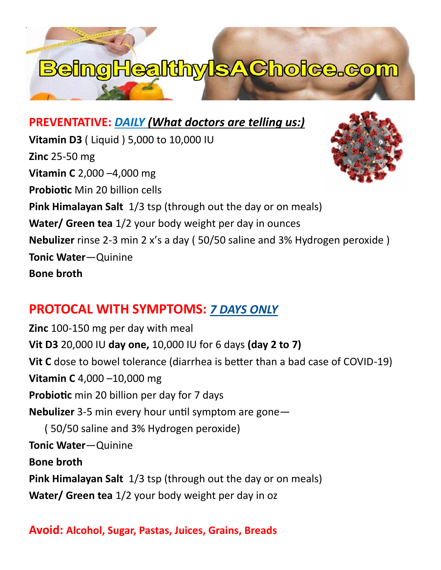# **BeingHealthyIsAChoice.com**

## **PREVENTATIVE:** *DAILY (What doctors are telling us:)*

**Vitamin D3** ( Liquid ) 5,000 to 10,000 IU **Zinc** 25-50 mg **Vitamin C** 2,000 –4,000 mg **Probiotic** Min 20 billion cells **Pink Himalayan Salt** 1/3 tsp (through out the day or on meals) **Water/ Green tea** 1/2 your body weight per day in ounces **Nebulizer** rinse 2-3 min 2 x's a day ( 50/50 saline and 3% Hydrogen peroxide ) **Tonic Water**—Quinine **Bone broth**

# **PROTOCAL WITH SYMPTOMS:** *7 DAYS ONLY*

**Zinc** 100-150 mg per day with meal **Vit D3** 20,000 IU **day one,** 10,000 IU for 6 days **(day 2 to 7) Vit C** dose to bowel tolerance (diarrhea is better than a bad case of COVID-19) **Vitamin C** 4,000 –10,000 mg **Probiotic** min 20 billion per day for 7 days **Nebulizer** 3-5 min every hour until symptom are gone— ( 50/50 saline and 3% Hydrogen peroxide) **Tonic Water**—Quinine **Bone broth Pink Himalayan Salt** 1/3 tsp (through out the day or on meals) **Water/ Green tea** 1/2 your body weight per day in oz

## **Avoid: Alcohol, Sugar, Pastas, Juices, Grains, Breads**